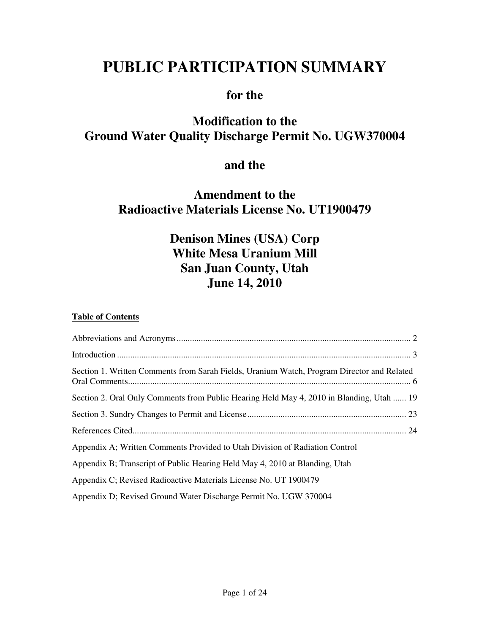# **PUBLIC PARTICIPATION SUMMARY**

### **for the**

## **Modification to the Ground Water Quality Discharge Permit No. UGW370004**

### **and the**

### **Amendment to the Radioactive Materials License No. UT1900479**

## **Denison Mines (USA) Corp White Mesa Uranium Mill San Juan County, Utah June 14, 2010**

#### **Table of Contents**

| Section 1. Written Comments from Sarah Fields, Uranium Watch, Program Director and Related |
|--------------------------------------------------------------------------------------------|
| Section 2. Oral Only Comments from Public Hearing Held May 4, 2010 in Blanding, Utah  19   |
|                                                                                            |
|                                                                                            |
| Appendix A; Written Comments Provided to Utah Division of Radiation Control                |
| Appendix B; Transcript of Public Hearing Held May 4, 2010 at Blanding, Utah                |
| Appendix C; Revised Radioactive Materials License No. UT 1900479                           |
| Appendix D; Revised Ground Water Discharge Permit No. UGW 370004                           |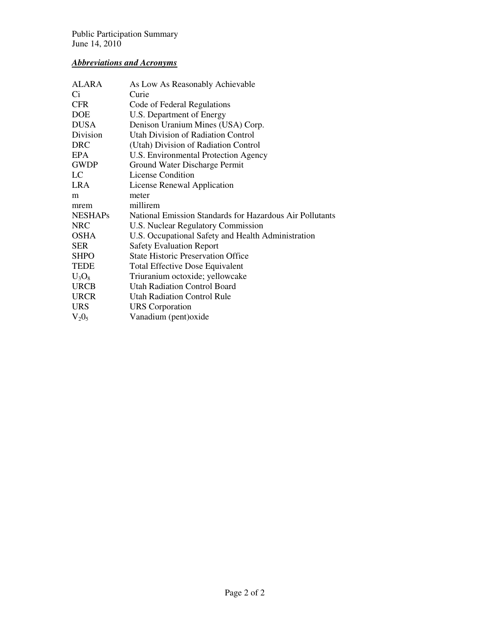#### *Abbreviations and Acronyms*

| As Low As Reasonably Achievable                          |
|----------------------------------------------------------|
| Curie                                                    |
| Code of Federal Regulations                              |
| U.S. Department of Energy                                |
| Denison Uranium Mines (USA) Corp.                        |
| Utah Division of Radiation Control                       |
| (Utah) Division of Radiation Control                     |
| U.S. Environmental Protection Agency                     |
| Ground Water Discharge Permit                            |
| License Condition                                        |
| License Renewal Application                              |
| meter                                                    |
| millirem                                                 |
| National Emission Standards for Hazardous Air Pollutants |
| U.S. Nuclear Regulatory Commission                       |
| U.S. Occupational Safety and Health Administration       |
| <b>Safety Evaluation Report</b>                          |
| <b>State Historic Preservation Office</b>                |
| <b>Total Effective Dose Equivalent</b>                   |
| Triuranium octoxide; yellowcake                          |
| <b>Utah Radiation Control Board</b>                      |
| Utah Radiation Control Rule                              |
| <b>URS</b> Corporation                                   |
| Vanadium (pent) oxide                                    |
|                                                          |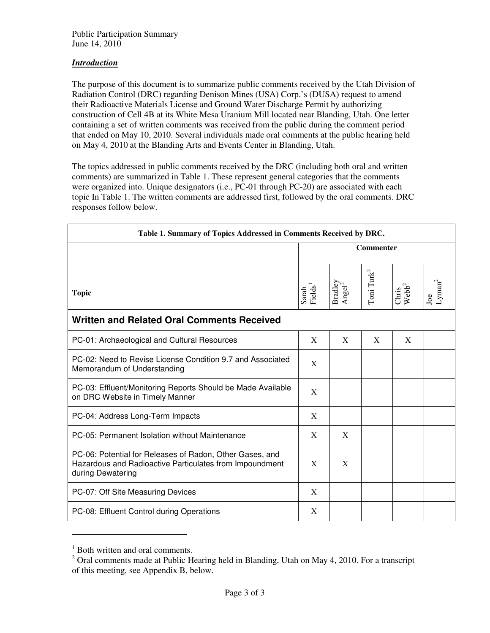#### *Introduction*

The purpose of this document is to summarize public comments received by the Utah Division of Radiation Control (DRC) regarding Denison Mines (USA) Corp.'s (DUSA) request to amend their Radioactive Materials License and Ground Water Discharge Permit by authorizing construction of Cell 4B at its White Mesa Uranium Mill located near Blanding, Utah. One letter containing a set of written comments was received from the public during the comment period that ended on May 10, 2010. Several individuals made oral comments at the public hearing held on May 4, 2010 at the Blanding Arts and Events Center in Blanding, Utah.

The topics addressed in public comments received by the DRC (including both oral and written comments) are summarized in Table 1. These represent general categories that the comments were organized into. Unique designators (i.e., PC-01 through PC-20) are associated with each topic In Table 1. The written comments are addressed first, followed by the oral comments. DRC responses follow below.

| Table 1. Summary of Topics Addressed in Comments Received by DRC.                                                                        |                              |                               |                        |                              |                        |  |  |  |
|------------------------------------------------------------------------------------------------------------------------------------------|------------------------------|-------------------------------|------------------------|------------------------------|------------------------|--|--|--|
|                                                                                                                                          | <b>Commenter</b>             |                               |                        |                              |                        |  |  |  |
| <b>Topic</b>                                                                                                                             | Sarah<br>Fields <sup>1</sup> | Bradley<br>Angel <sup>2</sup> | Toni Turk <sup>2</sup> | $Chris$<br>Webb <sup>2</sup> | ${\rm Lyman}^2$<br>Joe |  |  |  |
| <b>Written and Related Oral Comments Received</b>                                                                                        |                              |                               |                        |                              |                        |  |  |  |
| PC-01: Archaeological and Cultural Resources                                                                                             | X                            | X                             | X                      | X                            |                        |  |  |  |
| PC-02: Need to Revise License Condition 9.7 and Associated<br>Memorandum of Understanding                                                | X                            |                               |                        |                              |                        |  |  |  |
| PC-03: Effluent/Monitoring Reports Should be Made Available<br>on DRC Website in Timely Manner                                           | X                            |                               |                        |                              |                        |  |  |  |
| PC-04: Address Long-Term Impacts                                                                                                         | X                            |                               |                        |                              |                        |  |  |  |
| PC-05: Permanent Isolation without Maintenance                                                                                           | X                            | X                             |                        |                              |                        |  |  |  |
| PC-06: Potential for Releases of Radon, Other Gases, and<br>Hazardous and Radioactive Particulates from Impoundment<br>during Dewatering | X                            | X                             |                        |                              |                        |  |  |  |
| PC-07: Off Site Measuring Devices                                                                                                        | X                            |                               |                        |                              |                        |  |  |  |
| PC-08: Effluent Control during Operations                                                                                                | X                            |                               |                        |                              |                        |  |  |  |

<sup>&</sup>lt;sup>1</sup> Both written and oral comments.

 $\overline{a}$ 

 $2$  Oral comments made at Public Hearing held in Blanding, Utah on May 4, 2010. For a transcript of this meeting, see Appendix B, below.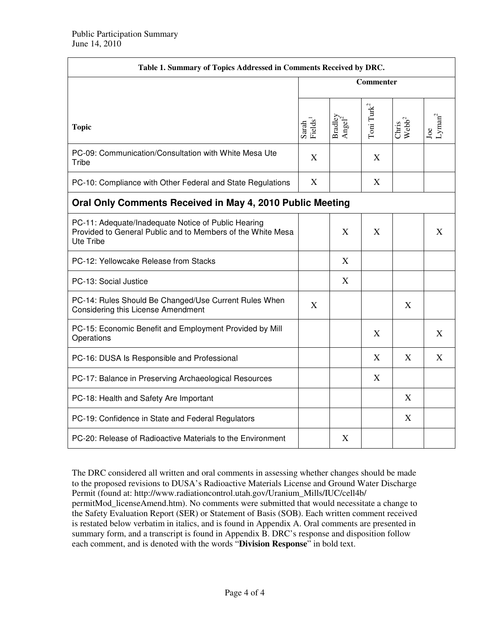| Table 1. Summary of Topics Addressed in Comments Received by DRC.                                                               |                                |                                                                      |                        |                            |                           |  |  |
|---------------------------------------------------------------------------------------------------------------------------------|--------------------------------|----------------------------------------------------------------------|------------------------|----------------------------|---------------------------|--|--|
|                                                                                                                                 | <b>Commenter</b>               |                                                                      |                        |                            |                           |  |  |
| <b>Topic</b>                                                                                                                    | $Sardn$<br>Fields <sup>1</sup> | $\begin{array}{l} \mathbf{Bradley} \\ \mathbf{Anglel}^2 \end{array}$ | Toni Turk <sup>2</sup> | Chris<br>Webb <sup>2</sup> | Joe<br>Lyman <sup>2</sup> |  |  |
| PC-09: Communication/Consultation with White Mesa Ute<br>Tribe                                                                  | X                              |                                                                      | $\mathbf X$            |                            |                           |  |  |
| PC-10: Compliance with Other Federal and State Regulations                                                                      | X                              |                                                                      | X                      |                            |                           |  |  |
| Oral Only Comments Received in May 4, 2010 Public Meeting                                                                       |                                |                                                                      |                        |                            |                           |  |  |
| PC-11: Adequate/Inadequate Notice of Public Hearing<br>Provided to General Public and to Members of the White Mesa<br>Ute Tribe |                                | X                                                                    | X                      |                            | X                         |  |  |
| PC-12: Yellowcake Release from Stacks                                                                                           |                                | X                                                                    |                        |                            |                           |  |  |
| PC-13: Social Justice                                                                                                           |                                | X                                                                    |                        |                            |                           |  |  |
| PC-14: Rules Should Be Changed/Use Current Rules When<br>Considering this License Amendment                                     | X                              |                                                                      |                        | X                          |                           |  |  |
| PC-15: Economic Benefit and Employment Provided by Mill<br>Operations                                                           |                                |                                                                      | X                      |                            | X                         |  |  |
| PC-16: DUSA Is Responsible and Professional                                                                                     |                                |                                                                      | X                      | X                          | X                         |  |  |
| PC-17: Balance in Preserving Archaeological Resources                                                                           |                                |                                                                      | X                      |                            |                           |  |  |
| PC-18: Health and Safety Are Important                                                                                          |                                |                                                                      |                        | X                          |                           |  |  |
| PC-19: Confidence in State and Federal Regulators                                                                               |                                |                                                                      |                        | X                          |                           |  |  |
| PC-20: Release of Radioactive Materials to the Environment                                                                      |                                | X                                                                    |                        |                            |                           |  |  |

The DRC considered all written and oral comments in assessing whether changes should be made to the proposed revisions to DUSA's Radioactive Materials License and Ground Water Discharge Permit (found at: http://www.radiationcontrol.utah.gov/Uranium\_Mills/IUC/cell4b/ permitMod\_licenseAmend.htm). No comments were submitted that would necessitate a change to the Safety Evaluation Report (SER) or Statement of Basis (SOB). Each written comment received is restated below verbatim in italics, and is found in Appendix A. Oral comments are presented in summary form, and a transcript is found in Appendix B. DRC's response and disposition follow each comment, and is denoted with the words "**Division Response**" in bold text.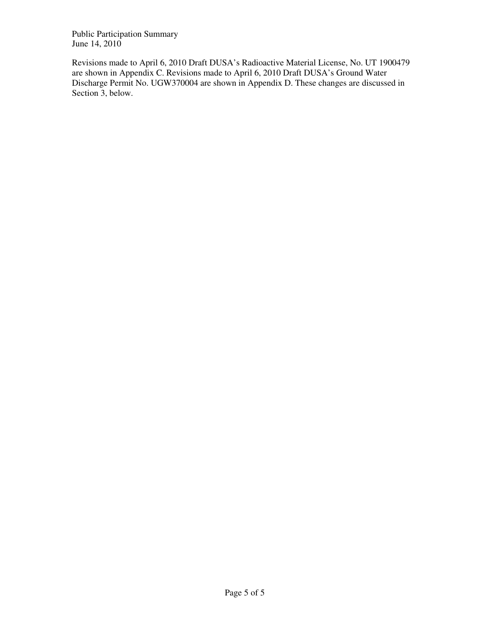Revisions made to April 6, 2010 Draft DUSA's Radioactive Material License, No. UT 1900479 are shown in Appendix C. Revisions made to April 6, 2010 Draft DUSA's Ground Water Discharge Permit No. UGW370004 are shown in Appendix D. These changes are discussed in Section 3, below.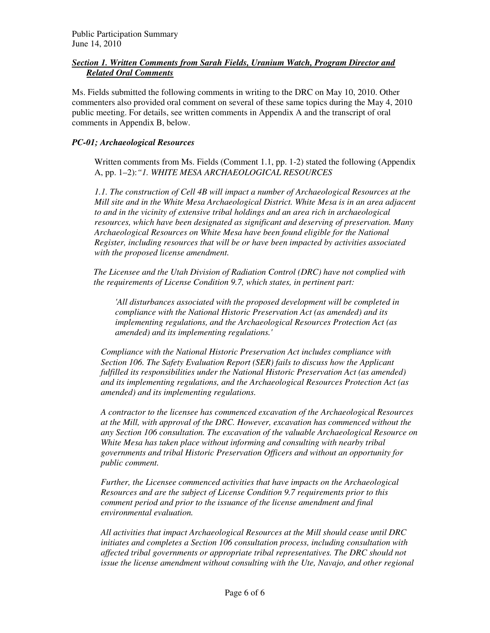#### *Section 1. Written Comments from Sarah Fields, Uranium Watch, Program Director and Related Oral Comments*

Ms. Fields submitted the following comments in writing to the DRC on May 10, 2010. Other commenters also provided oral comment on several of these same topics during the May 4, 2010 public meeting. For details, see written comments in Appendix A and the transcript of oral comments in Appendix B, below.

#### *PC-01; Archaeological Resources*

Written comments from Ms. Fields (Comment 1.1, pp. 1-2) stated the following (Appendix A, pp. 1–2):*"1. WHITE MESA ARCHAEOLOGICAL RESOURCES* 

*1.1. The construction of Cell 4B will impact a number of Archaeological Resources at the Mill site and in the White Mesa Archaeological District. White Mesa is in an area adjacent to and in the vicinity of extensive tribal holdings and an area rich in archaeological resources, which have been designated as significant and deserving of preservation. Many Archaeological Resources on White Mesa have been found eligible for the National Register, including resources that will be or have been impacted by activities associated with the proposed license amendment.* 

*The Licensee and the Utah Division of Radiation Control (DRC) have not complied with the requirements of License Condition 9.7, which states, in pertinent part:* 

*'All disturbances associated with the proposed development will be completed in compliance with the National Historic Preservation Act (as amended) and its implementing regulations, and the Archaeological Resources Protection Act (as amended) and its implementing regulations.'* 

*Compliance with the National Historic Preservation Act includes compliance with Section 106. The Safety Evaluation Report (SER) fails to discuss how the Applicant fulfilled its responsibilities under the National Historic Preservation Act (as amended) and its implementing regulations, and the Archaeological Resources Protection Act (as amended) and its implementing regulations.* 

*A contractor to the licensee has commenced excavation of the Archaeological Resources at the Mill, with approval of the DRC. However, excavation has commenced without the any Section 106 consultation. The excavation of the valuable Archaeological Resource on White Mesa has taken place without informing and consulting with nearby tribal governments and tribal Historic Preservation Officers and without an opportunity for public comment.* 

*Further, the Licensee commenced activities that have impacts on the Archaeological Resources and are the subject of License Condition 9.7 requirements prior to this comment period and prior to the issuance of the license amendment and final environmental evaluation.* 

*All activities that impact Archaeological Resources at the Mill should cease until DRC initiates and completes a Section 106 consultation process, including consultation with affected tribal governments or appropriate tribal representatives. The DRC should not issue the license amendment without consulting with the Ute, Navajo, and other regional*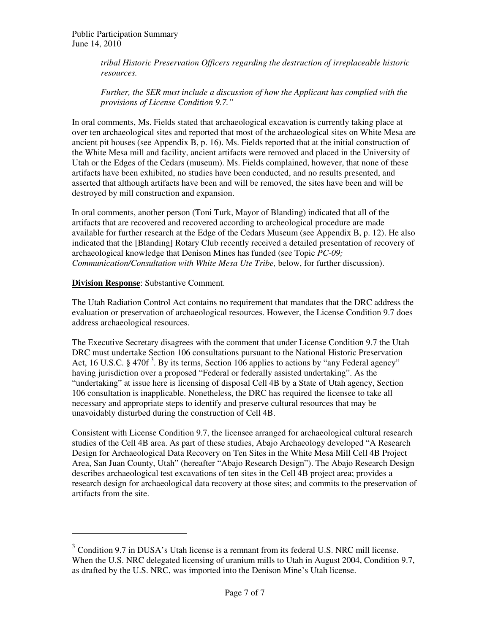*tribal Historic Preservation Officers regarding the destruction of irreplaceable historic resources.* 

*Further, the SER must include a discussion of how the Applicant has complied with the provisions of License Condition 9.7."* 

In oral comments, Ms. Fields stated that archaeological excavation is currently taking place at over ten archaeological sites and reported that most of the archaeological sites on White Mesa are ancient pit houses (see Appendix B, p. 16). Ms. Fields reported that at the initial construction of the White Mesa mill and facility, ancient artifacts were removed and placed in the University of Utah or the Edges of the Cedars (museum). Ms. Fields complained, however, that none of these artifacts have been exhibited, no studies have been conducted, and no results presented, and asserted that although artifacts have been and will be removed, the sites have been and will be destroyed by mill construction and expansion.

In oral comments, another person (Toni Turk, Mayor of Blanding) indicated that all of the artifacts that are recovered and recovered according to archeological procedure are made available for further research at the Edge of the Cedars Museum (see Appendix B, p. 12). He also indicated that the [Blanding] Rotary Club recently received a detailed presentation of recovery of archaeological knowledge that Denison Mines has funded (see Topic *PC-09; Communication/Consultation with White Mesa Ute Tribe,* below, for further discussion).

#### **Division Response**: Substantive Comment.

 $\overline{a}$ 

The Utah Radiation Control Act contains no requirement that mandates that the DRC address the evaluation or preservation of archaeological resources. However, the License Condition 9.7 does address archaeological resources.

The Executive Secretary disagrees with the comment that under License Condition 9.7 the Utah DRC must undertake Section 106 consultations pursuant to the National Historic Preservation Act, 16 U.S.C. § 470f<sup>3</sup>. By its terms, Section 106 applies to actions by "any Federal agency" having jurisdiction over a proposed "Federal or federally assisted undertaking". As the "undertaking" at issue here is licensing of disposal Cell 4B by a State of Utah agency, Section 106 consultation is inapplicable. Nonetheless, the DRC has required the licensee to take all necessary and appropriate steps to identify and preserve cultural resources that may be unavoidably disturbed during the construction of Cell 4B.

Consistent with License Condition 9.7, the licensee arranged for archaeological cultural research studies of the Cell 4B area. As part of these studies, Abajo Archaeology developed "A Research Design for Archaeological Data Recovery on Ten Sites in the White Mesa Mill Cell 4B Project Area, San Juan County, Utah" (hereafter "Abajo Research Design"). The Abajo Research Design describes archaeological test excavations of ten sites in the Cell 4B project area; provides a research design for archaeological data recovery at those sites; and commits to the preservation of artifacts from the site.

<sup>&</sup>lt;sup>3</sup> Condition 9.7 in DUSA's Utah license is a remnant from its federal U.S. NRC mill license. When the U.S. NRC delegated licensing of uranium mills to Utah in August 2004, Condition 9.7, as drafted by the U.S. NRC, was imported into the Denison Mine's Utah license.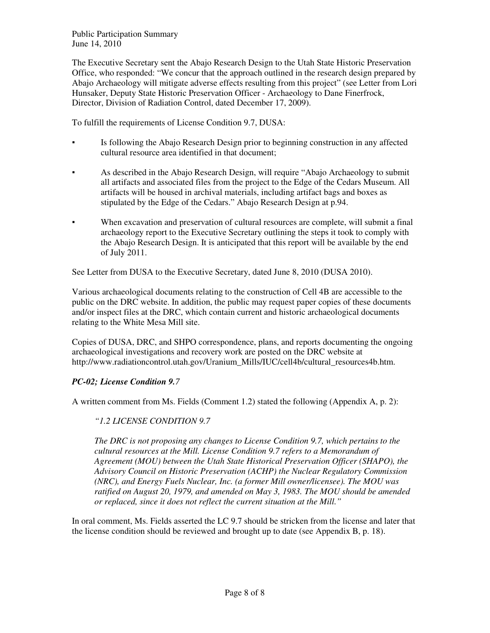The Executive Secretary sent the Abajo Research Design to the Utah State Historic Preservation Office, who responded: "We concur that the approach outlined in the research design prepared by Abajo Archaeology will mitigate adverse effects resulting from this project" (see Letter from Lori Hunsaker, Deputy State Historic Preservation Officer - Archaeology to Dane Finerfrock, Director, Division of Radiation Control, dated December 17, 2009).

To fulfill the requirements of License Condition 9.7, DUSA:

- Is following the Abajo Research Design prior to beginning construction in any affected cultural resource area identified in that document;
- As described in the Abajo Research Design, will require "Abajo Archaeology to submit all artifacts and associated files from the project to the Edge of the Cedars Museum. All artifacts will be housed in archival materials, including artifact bags and boxes as stipulated by the Edge of the Cedars." Abajo Research Design at p.94.
- When excavation and preservation of cultural resources are complete, will submit a final archaeology report to the Executive Secretary outlining the steps it took to comply with the Abajo Research Design. It is anticipated that this report will be available by the end of July 2011.

See Letter from DUSA to the Executive Secretary, dated June 8, 2010 (DUSA 2010).

Various archaeological documents relating to the construction of Cell 4B are accessible to the public on the DRC website. In addition, the public may request paper copies of these documents and/or inspect files at the DRC, which contain current and historic archaeological documents relating to the White Mesa Mill site.

Copies of DUSA, DRC, and SHPO correspondence, plans, and reports documenting the ongoing archaeological investigations and recovery work are posted on the DRC website at http://www.radiationcontrol.utah.gov/Uranium\_Mills/IUC/cell4b/cultural\_resources4b.htm.

#### *PC-02; License Condition 9.7*

A written comment from Ms. Fields (Comment 1.2) stated the following (Appendix A, p. 2):

#### *"1.2 LICENSE CONDITION 9.7*

*The DRC is not proposing any changes to License Condition 9.7, which pertains to the cultural resources at the Mill. License Condition 9.7 refers to a Memorandum of Agreement (MOU) between the Utah State Historical Preservation Officer (SHAPO), the Advisory Council on Historic Preservation (ACHP) the Nuclear Regulatory Commission (NRC), and Energy Fuels Nuclear, Inc. (a former Mill owner/licensee). The MOU was ratified on August 20, 1979, and amended on May 3, 1983. The MOU should be amended or replaced, since it does not reflect the current situation at the Mill."* 

In oral comment, Ms. Fields asserted the LC 9.7 should be stricken from the license and later that the license condition should be reviewed and brought up to date (see Appendix B, p. 18).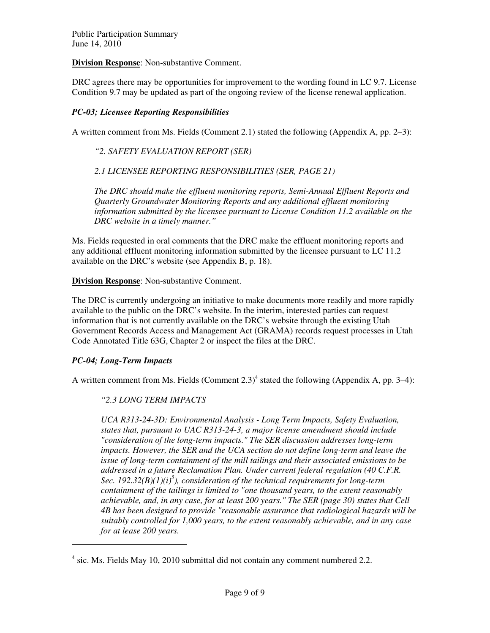**Division Response**: Non-substantive Comment.

DRC agrees there may be opportunities for improvement to the wording found in LC 9.7. License Condition 9.7 may be updated as part of the ongoing review of the license renewal application.

#### *PC-03; Licensee Reporting Responsibilities*

A written comment from Ms. Fields (Comment 2.1) stated the following (Appendix A, pp. 2–3):

*"2. SAFETY EVALUATION REPORT (SER)* 

*2.1 LICENSEE REPORTING RESPONSIBILITIES (SER, PAGE 21)* 

*The DRC should make the effluent monitoring reports, Semi-Annual Effluent Reports and Quarterly Groundwater Monitoring Reports and any additional effluent monitoring information submitted by the licensee pursuant to License Condition 11.2 available on the DRC website in a timely manner."* 

Ms. Fields requested in oral comments that the DRC make the effluent monitoring reports and any additional effluent monitoring information submitted by the licensee pursuant to LC 11.2 available on the DRC's website (see Appendix B, p. 18).

**Division Response**: Non-substantive Comment.

The DRC is currently undergoing an initiative to make documents more readily and more rapidly available to the public on the DRC's website. In the interim, interested parties can request information that is not currently available on the DRC's website through the existing Utah Government Records Access and Management Act (GRAMA) records request processes in Utah Code Annotated Title 63G, Chapter 2 or inspect the files at the DRC.

#### *PC-04; Long-Term Impacts*

 $\overline{a}$ 

A written comment from Ms. Fields (Comment  $2.3$ )<sup>4</sup> stated the following (Appendix A, pp. 3–4):

#### *"2.3 LONG TERM IMPACTS*

*UCA R313-24-3D: Environmental Analysis - Long Term Impacts, Safety Evaluation, states that, pursuant to UAC R313-24-3, a major license amendment should include "consideration of the long-term impacts." The SER discussion addresses long-term impacts. However, the SER and the UCA section do not define long-term and leave the issue of long-term containment of the mill tailings and their associated emissions to be addressed in a future Reclamation Plan. Under current federal regulation (40 C.F.R. Sec. 192.32(B)(1)(i)<sup>5</sup> ), consideration of the technical requirements for long-term containment of the tailings is limited to "one thousand years, to the extent reasonably achievable, and, in any case, for at least 200 years." The SER (page 30) states that Cell 4B has been designed to provide "reasonable assurance that radiological hazards will be suitably controlled for 1,000 years, to the extent reasonably achievable, and in any case for at lease 200 years.* 

<sup>&</sup>lt;sup>4</sup> sic. Ms. Fields May 10, 2010 submittal did not contain any comment numbered 2.2.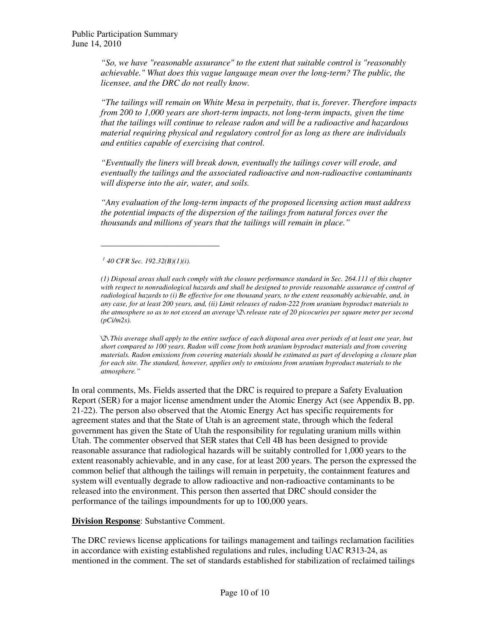*"So, we have "reasonable assurance" to the extent that suitable control is "reasonably achievable." What does this vague language mean over the long-term? The public, the licensee, and the DRC do not really know.* 

*"The tailings will remain on White Mesa in perpetuity, that is, forever. Therefore impacts from 200 to 1,000 years are short-term impacts, not long-term impacts, given the time that the tailings will continue to release radon and will be a radioactive and hazardous material requiring physical and regulatory control for as long as there are individuals and entities capable of exercising that control.* 

*"Eventually the liners will break down, eventually the tailings cover will erode, and eventually the tailings and the associated radioactive and non-radioactive contaminants will disperse into the air, water, and soils.* 

*"Any evaluation of the long-term impacts of the proposed licensing action must address the potential impacts of the dispersion of the tailings from natural forces over the thousands and millions of years that the tailings will remain in place."* 

*1 40 CFR Sec. 192.32(B)(1)(i).* 

*\_\_\_\_\_\_\_\_\_\_\_\_\_\_\_\_\_\_\_\_\_\_\_\_\_\_\_* 

*(1) Disposal areas shall each comply with the closure performance standard in Sec. 264.111 of this chapter*  with respect to nonradiological hazards and shall be designed to provide reasonable assurance of control of *radiological hazards to (i) Be effective for one thousand years, to the extent reasonably achievable, and, in any case, for at least 200 years, and, (ii) Limit releases of radon-222 from uranium byproduct materials to the atmosphere so as to not exceed an average \2\ release rate of 20 picocuries per square meter per second (pCi/m2s).* 

*\2\ This average shall apply to the entire surface of each disposal area over periods of at least one year, but short compared to 100 years. Radon will come from both uranium byproduct materials and from covering materials. Radon emissions from covering materials should be estimated as part of developing a closure plan for each site. The standard, however, applies only to emissions from uranium byproduct materials to the atmosphere."* 

In oral comments, Ms. Fields asserted that the DRC is required to prepare a Safety Evaluation Report (SER) for a major license amendment under the Atomic Energy Act (see Appendix B, pp. 21-22). The person also observed that the Atomic Energy Act has specific requirements for agreement states and that the State of Utah is an agreement state, through which the federal government has given the State of Utah the responsibility for regulating uranium mills within Utah. The commenter observed that SER states that Cell 4B has been designed to provide reasonable assurance that radiological hazards will be suitably controlled for 1,000 years to the extent reasonably achievable, and in any case, for at least 200 years. The person the expressed the common belief that although the tailings will remain in perpetuity, the containment features and system will eventually degrade to allow radioactive and non-radioactive contaminants to be released into the environment. This person then asserted that DRC should consider the performance of the tailings impoundments for up to 100,000 years.

**Division Response**: Substantive Comment.

The DRC reviews license applications for tailings management and tailings reclamation facilities in accordance with existing established regulations and rules, including UAC R313-24, as mentioned in the comment. The set of standards established for stabilization of reclaimed tailings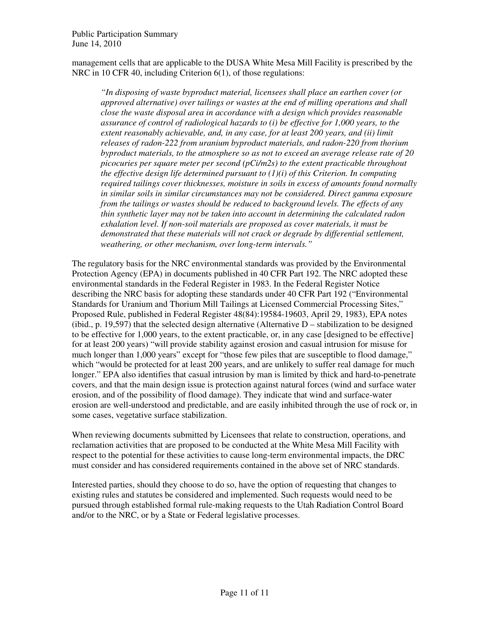management cells that are applicable to the DUSA White Mesa Mill Facility is prescribed by the NRC in 10 CFR 40, including Criterion 6(1), of those regulations:

*"In disposing of waste byproduct material, licensees shall place an earthen cover (or approved alternative) over tailings or wastes at the end of milling operations and shall close the waste disposal area in accordance with a design which provides reasonable assurance of control of radiological hazards to (i) be effective for 1,000 years, to the extent reasonably achievable, and, in any case, for at least 200 years, and (ii) limit releases of radon-222 from uranium byproduct materials, and radon-220 from thorium byproduct materials, to the atmosphere so as not to exceed an average release rate of 20 picocuries per square meter per second (pCi/m2s) to the extent practicable throughout the effective design life determined pursuant to (1)(i) of this Criterion. In computing required tailings cover thicknesses, moisture in soils in excess of amounts found normally in similar soils in similar circumstances may not be considered. Direct gamma exposure from the tailings or wastes should be reduced to background levels. The effects of any thin synthetic layer may not be taken into account in determining the calculated radon exhalation level. If non-soil materials are proposed as cover materials, it must be demonstrated that these materials will not crack or degrade by differential settlement, weathering, or other mechanism, over long-term intervals."* 

The regulatory basis for the NRC environmental standards was provided by the Environmental Protection Agency (EPA) in documents published in 40 CFR Part 192. The NRC adopted these environmental standards in the Federal Register in 1983. In the Federal Register Notice describing the NRC basis for adopting these standards under 40 CFR Part 192 ("Environmental Standards for Uranium and Thorium Mill Tailings at Licensed Commercial Processing Sites," Proposed Rule, published in Federal Register 48(84):19584-19603, April 29, 1983), EPA notes (ibid., p. 19,597) that the selected design alternative (Alternative  $D$  – stabilization to be designed to be effective for 1,000 years, to the extent practicable, or, in any case [designed to be effective] for at least 200 years) "will provide stability against erosion and casual intrusion for misuse for much longer than 1,000 years" except for "those few piles that are susceptible to flood damage," which "would be protected for at least 200 years, and are unlikely to suffer real damage for much longer." EPA also identifies that casual intrusion by man is limited by thick and hard-to-penetrate covers, and that the main design issue is protection against natural forces (wind and surface water erosion, and of the possibility of flood damage). They indicate that wind and surface-water erosion are well-understood and predictable, and are easily inhibited through the use of rock or, in some cases, vegetative surface stabilization.

When reviewing documents submitted by Licensees that relate to construction, operations, and reclamation activities that are proposed to be conducted at the White Mesa Mill Facility with respect to the potential for these activities to cause long-term environmental impacts, the DRC must consider and has considered requirements contained in the above set of NRC standards.

Interested parties, should they choose to do so, have the option of requesting that changes to existing rules and statutes be considered and implemented. Such requests would need to be pursued through established formal rule-making requests to the Utah Radiation Control Board and/or to the NRC, or by a State or Federal legislative processes.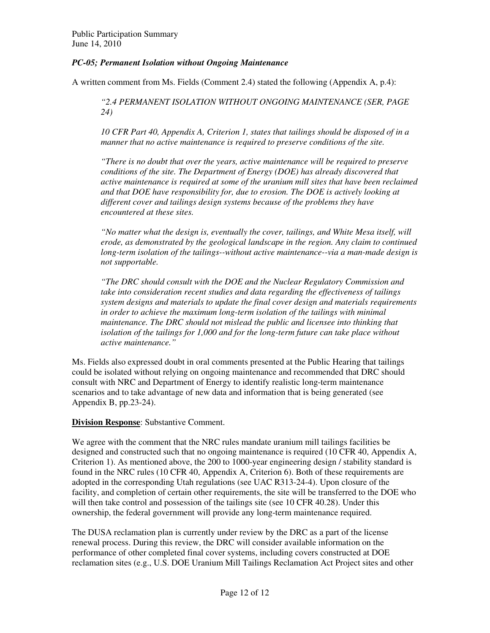#### *PC-05; Permanent Isolation without Ongoing Maintenance*

A written comment from Ms. Fields (Comment 2.4) stated the following (Appendix A, p.4):

*"2.4 PERMANENT ISOLATION WITHOUT ONGOING MAINTENANCE (SER, PAGE 24)* 

*10 CFR Part 40, Appendix A, Criterion 1, states that tailings should be disposed of in a manner that no active maintenance is required to preserve conditions of the site.* 

*"There is no doubt that over the years, active maintenance will be required to preserve conditions of the site. The Department of Energy (DOE) has already discovered that active maintenance is required at some of the uranium mill sites that have been reclaimed and that DOE have responsibility for, due to erosion. The DOE is actively looking at different cover and tailings design systems because of the problems they have encountered at these sites.* 

*"No matter what the design is, eventually the cover, tailings, and White Mesa itself, will erode, as demonstrated by the geological landscape in the region. Any claim to continued long-term isolation of the tailings--without active maintenance--via a man-made design is not supportable.* 

*"The DRC should consult with the DOE and the Nuclear Regulatory Commission and take into consideration recent studies and data regarding the effectiveness of tailings system designs and materials to update the final cover design and materials requirements in order to achieve the maximum long-term isolation of the tailings with minimal maintenance. The DRC should not mislead the public and licensee into thinking that isolation of the tailings for 1,000 and for the long-term future can take place without active maintenance."* 

Ms. Fields also expressed doubt in oral comments presented at the Public Hearing that tailings could be isolated without relying on ongoing maintenance and recommended that DRC should consult with NRC and Department of Energy to identify realistic long-term maintenance scenarios and to take advantage of new data and information that is being generated (see Appendix B, pp.23-24).

#### **Division Response**: Substantive Comment.

We agree with the comment that the NRC rules mandate uranium mill tailings facilities be designed and constructed such that no ongoing maintenance is required (10 CFR 40, Appendix A, Criterion 1). As mentioned above, the 200 to 1000-year engineering design / stability standard is found in the NRC rules (10 CFR 40, Appendix A, Criterion 6). Both of these requirements are adopted in the corresponding Utah regulations (see UAC R313-24-4). Upon closure of the facility, and completion of certain other requirements, the site will be transferred to the DOE who will then take control and possession of the tailings site (see 10 CFR 40.28). Under this ownership, the federal government will provide any long-term maintenance required.

The DUSA reclamation plan is currently under review by the DRC as a part of the license renewal process. During this review, the DRC will consider available information on the performance of other completed final cover systems, including covers constructed at DOE reclamation sites (e.g., U.S. DOE Uranium Mill Tailings Reclamation Act Project sites and other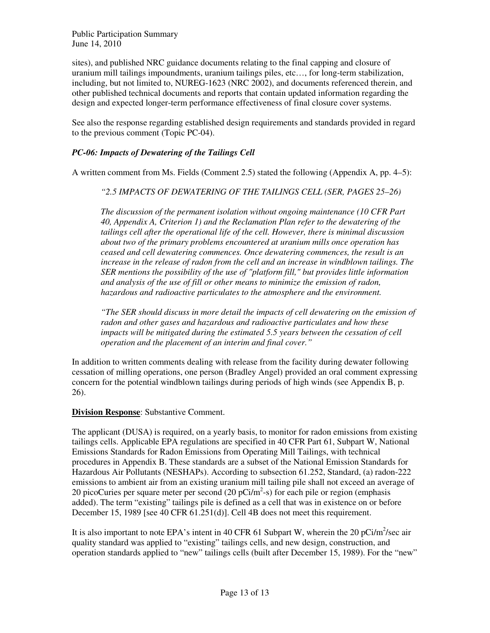sites), and published NRC guidance documents relating to the final capping and closure of uranium mill tailings impoundments, uranium tailings piles, etc…, for long-term stabilization, including, but not limited to, NUREG-1623 (NRC 2002), and documents referenced therein, and other published technical documents and reports that contain updated information regarding the design and expected longer-term performance effectiveness of final closure cover systems.

See also the response regarding established design requirements and standards provided in regard to the previous comment (Topic PC-04).

#### *PC-06: Impacts of Dewatering of the Tailings Cell*

A written comment from Ms. Fields (Comment 2.5) stated the following (Appendix A, pp. 4–5):

*"2.5 IMPACTS OF DEWATERING OF THE TAILINGS CELL (SER, PAGES 25–26)* 

*The discussion of the permanent isolation without ongoing maintenance (10 CFR Part 40, Appendix A, Criterion 1) and the Reclamation Plan refer to the dewatering of the tailings cell after the operational life of the cell. However, there is minimal discussion about two of the primary problems encountered at uranium mills once operation has ceased and cell dewatering commences. Once dewatering commences, the result is an increase in the release of radon from the cell and an increase in windblown tailings. The SER mentions the possibility of the use of "platform fill," but provides little information and analysis of the use of fill or other means to minimize the emission of radon, hazardous and radioactive particulates to the atmosphere and the environment.* 

*"The SER should discuss in more detail the impacts of cell dewatering on the emission of radon and other gases and hazardous and radioactive particulates and how these impacts will be mitigated during the estimated 5.5 years between the cessation of cell operation and the placement of an interim and final cover."* 

In addition to written comments dealing with release from the facility during dewater following cessation of milling operations, one person (Bradley Angel) provided an oral comment expressing concern for the potential windblown tailings during periods of high winds (see Appendix B, p. 26).

#### **Division Response**: Substantive Comment.

The applicant (DUSA) is required, on a yearly basis, to monitor for radon emissions from existing tailings cells. Applicable EPA regulations are specified in 40 CFR Part 61, Subpart W, National Emissions Standards for Radon Emissions from Operating Mill Tailings, with technical procedures in Appendix B. These standards are a subset of the National Emission Standards for Hazardous Air Pollutants (NESHAPs). According to subsection 61.252, Standard, (a) radon-222 emissions to ambient air from an existing uranium mill tailing pile shall not exceed an average of 20 picoCuries per square meter per second (20  $pCi/m^2$ -s) for each pile or region (emphasis added). The term "existing" tailings pile is defined as a cell that was in existence on or before December 15, 1989 [see 40 CFR 61.251(d)]. Cell 4B does not meet this requirement.

It is also important to note EPA's intent in 40 CFR 61 Subpart W, wherein the 20 pCi/m<sup>2</sup>/sec air quality standard was applied to "existing" tailings cells, and new design, construction, and operation standards applied to "new" tailings cells (built after December 15, 1989). For the "new"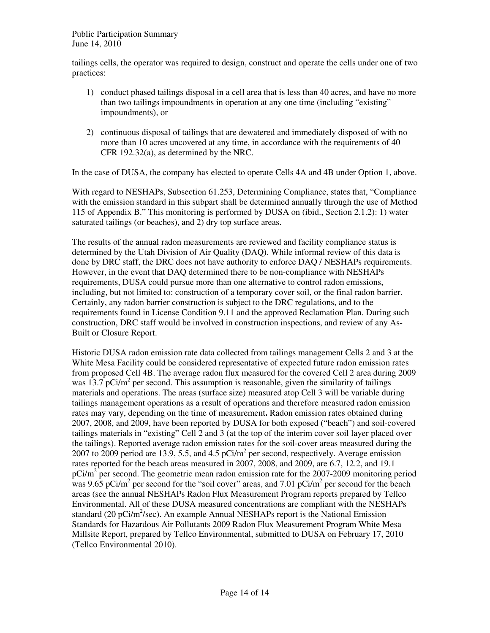tailings cells, the operator was required to design, construct and operate the cells under one of two practices:

- 1) conduct phased tailings disposal in a cell area that is less than 40 acres, and have no more than two tailings impoundments in operation at any one time (including "existing" impoundments), or
- 2) continuous disposal of tailings that are dewatered and immediately disposed of with no more than 10 acres uncovered at any time, in accordance with the requirements of 40 CFR 192.32(a), as determined by the NRC.

In the case of DUSA, the company has elected to operate Cells 4A and 4B under Option 1, above.

With regard to NESHAPs, Subsection 61.253, Determining Compliance, states that, "Compliance with the emission standard in this subpart shall be determined annually through the use of Method 115 of Appendix B." This monitoring is performed by DUSA on (ibid., Section 2.1.2): 1) water saturated tailings (or beaches), and 2) dry top surface areas.

The results of the annual radon measurements are reviewed and facility compliance status is determined by the Utah Division of Air Quality (DAQ). While informal review of this data is done by DRC staff, the DRC does not have authority to enforce DAQ / NESHAPs requirements. However, in the event that DAQ determined there to be non-compliance with NESHAPs requirements, DUSA could pursue more than one alternative to control radon emissions, including, but not limited to: construction of a temporary cover soil, or the final radon barrier. Certainly, any radon barrier construction is subject to the DRC regulations, and to the requirements found in License Condition 9.11 and the approved Reclamation Plan. During such construction, DRC staff would be involved in construction inspections, and review of any As-Built or Closure Report.

Historic DUSA radon emission rate data collected from tailings management Cells 2 and 3 at the White Mesa Facility could be considered representative of expected future radon emission rates from proposed Cell 4B. The average radon flux measured for the covered Cell 2 area during 2009 was 13.7 pCi/ $m^2$  per second. This assumption is reasonable, given the similarity of tailings materials and operations. The areas (surface size) measured atop Cell 3 will be variable during tailings management operations as a result of operations and therefore measured radon emission rates may vary, depending on the time of measurement**.** Radon emission rates obtained during 2007, 2008, and 2009, have been reported by DUSA for both exposed ("beach") and soil-covered tailings materials in "existing" Cell 2 and 3 (at the top of the interim cover soil layer placed over the tailings). Reported average radon emission rates for the soil-cover areas measured during the 2007 to 2009 period are 13.9, 5.5, and 4.5  $pCi/m^2$  per second, respectively. Average emission rates reported for the beach areas measured in 2007, 2008, and 2009, are 6.7, 12.2, and 19.1 pCi/m<sup>2</sup> per second. The geometric mean radon emission rate for the 2007-2009 monitoring period was 9.65 pCi/m<sup>2</sup> per second for the "soil cover" areas, and 7.01 pCi/m<sup>2</sup> per second for the beach areas (see the annual NESHAPs Radon Flux Measurement Program reports prepared by Tellco Environmental. All of these DUSA measured concentrations are compliant with the NESHAPs standard (20 pCi/m<sup>2</sup>/sec). An example Annual NESHAPs report is the National Emission Standards for Hazardous Air Pollutants 2009 Radon Flux Measurement Program White Mesa Millsite Report, prepared by Tellco Environmental, submitted to DUSA on February 17, 2010 (Tellco Environmental 2010).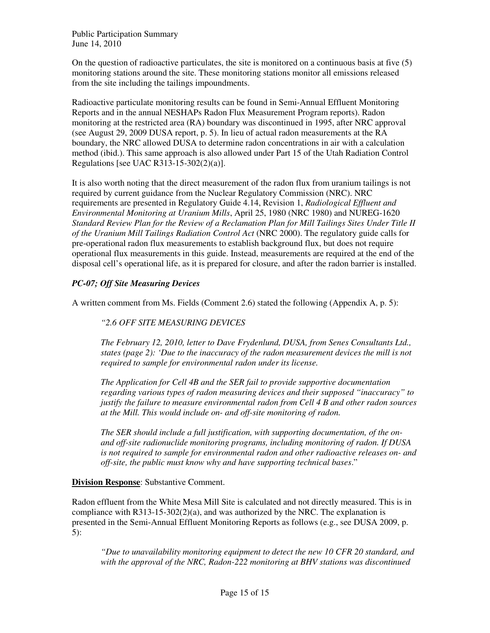On the question of radioactive particulates, the site is monitored on a continuous basis at five (5) monitoring stations around the site. These monitoring stations monitor all emissions released from the site including the tailings impoundments.

Radioactive particulate monitoring results can be found in Semi-Annual Effluent Monitoring Reports and in the annual NESHAPs Radon Flux Measurement Program reports). Radon monitoring at the restricted area (RA) boundary was discontinued in 1995, after NRC approval (see August 29, 2009 DUSA report, p. 5). In lieu of actual radon measurements at the RA boundary, the NRC allowed DUSA to determine radon concentrations in air with a calculation method (ibid.). This same approach is also allowed under Part 15 of the Utah Radiation Control Regulations [see UAC R313-15-302(2)(a)].

It is also worth noting that the direct measurement of the radon flux from uranium tailings is not required by current guidance from the Nuclear Regulatory Commission (NRC). NRC requirements are presented in Regulatory Guide 4.14, Revision 1, *Radiological Effluent and Environmental Monitoring at Uranium Mills*, April 25, 1980 (NRC 1980) and NUREG-1620 *Standard Review Plan for the Review of a Reclamation Plan for Mill Tailings Sites Under Title II of the Uranium Mill Tailings Radiation Control Act* (NRC 2000). The regulatory guide calls for pre-operational radon flux measurements to establish background flux, but does not require operational flux measurements in this guide. Instead, measurements are required at the end of the disposal cell's operational life, as it is prepared for closure, and after the radon barrier is installed.

#### *PC-07; Off Site Measuring Devices*

A written comment from Ms. Fields (Comment 2.6) stated the following (Appendix A, p. 5):

#### *"2.6 OFF SITE MEASURING DEVICES*

*The February 12, 2010, letter to Dave Frydenlund, DUSA, from Senes Consultants Ltd., states (page 2): 'Due to the inaccuracy of the radon measurement devices the mill is not required to sample for environmental radon under its license.* 

*The Application for Cell 4B and the SER fail to provide supportive documentation regarding various types of radon measuring devices and their supposed "inaccuracy" to justify the failure to measure environmental radon from Cell 4 B and other radon sources at the Mill. This would include on- and off-site monitoring of radon.* 

*The SER should include a full justification, with supporting documentation, of the onand off-site radionuclide monitoring programs, including monitoring of radon. If DUSA is not required to sample for environmental radon and other radioactive releases on- and off-site, the public must know why and have supporting technical bases*."

**Division Response**: Substantive Comment.

Radon effluent from the White Mesa Mill Site is calculated and not directly measured. This is in compliance with  $R313-15-302(2)(a)$ , and was authorized by the NRC. The explanation is presented in the Semi-Annual Effluent Monitoring Reports as follows (e.g., see DUSA 2009, p. 5):

*"Due to unavailability monitoring equipment to detect the new 10 CFR 20 standard, and with the approval of the NRC, Radon-222 monitoring at BHV stations was discontinued*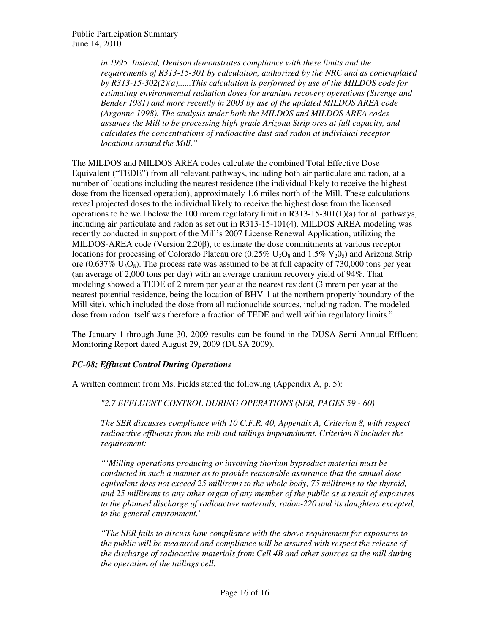*in 1995. Instead, Denison demonstrates compliance with these limits and the requirements of R313-15-301 by calculation, authorized by the NRC and as contemplated by R313-15-302(2)(a)......This calculation is performed by use of the MILDOS code for estimating environmental radiation doses for uranium recovery operations (Strenge and Bender 1981) and more recently in 2003 by use of the updated MILDOS AREA code (Argonne 1998). The analysis under both the MILDOS and MILDOS AREA codes assumes the Mill to be processing high grade Arizona Strip ores at full capacity, and calculates the concentrations of radioactive dust and radon at individual receptor locations around the Mill."* 

The MILDOS and MILDOS AREA codes calculate the combined Total Effective Dose Equivalent ("TEDE") from all relevant pathways, including both air particulate and radon, at a number of locations including the nearest residence (the individual likely to receive the highest dose from the licensed operation), approximately 1.6 miles north of the Mill. These calculations reveal projected doses to the individual likely to receive the highest dose from the licensed operations to be well below the 100 mrem regulatory limit in  $R313-15-301(1)(a)$  for all pathways, including air particulate and radon as set out in R313-15-101(4). MILDOS AREA modeling was recently conducted in support of the Mill's 2007 License Renewal Application, utilizing the MILDOS-AREA code (Version 2.20β), to estimate the dose commitments at various receptor locations for processing of Colorado Plateau ore  $(0.25\% \text{ U}_3\text{O}_8 \text{ and } 1.5\% \text{ V}_2\text{O}_5)$  and Arizona Strip ore  $(0.637\% \text{ U}_3\text{O}_8)$ . The process rate was assumed to be at full capacity of 730,000 tons per year (an average of 2,000 tons per day) with an average uranium recovery yield of 94%. That modeling showed a TEDE of 2 mrem per year at the nearest resident (3 mrem per year at the nearest potential residence, being the location of BHV-1 at the northern property boundary of the Mill site), which included the dose from all radionuclide sources, including radon. The modeled dose from radon itself was therefore a fraction of TEDE and well within regulatory limits."

The January 1 through June 30, 2009 results can be found in the DUSA Semi-Annual Effluent Monitoring Report dated August 29, 2009 (DUSA 2009).

#### *PC-08; Effluent Control During Operations*

A written comment from Ms. Fields stated the following (Appendix A, p. 5):

*"2.7 EFFLUENT CONTROL DURING OPERATIONS (SER, PAGES 59 - 60)* 

*The SER discusses compliance with 10 C.F.R. 40, Appendix A, Criterion 8, with respect radioactive effluents from the mill and tailings impoundment. Criterion 8 includes the requirement:* 

*"'Milling operations producing or involving thorium byproduct material must be conducted in such a manner as to provide reasonable assurance that the annual dose equivalent does not exceed 25 millirems to the whole body, 75 millirems to the thyroid, and 25 millirems to any other organ of any member of the public as a result of exposures to the planned discharge of radioactive materials, radon-220 and its daughters excepted, to the general environment.'* 

*"The SER fails to discuss how compliance with the above requirement for exposures to the public will be measured and compliance will be assured with respect the release of the discharge of radioactive materials from Cell 4B and other sources at the mill during the operation of the tailings cell.*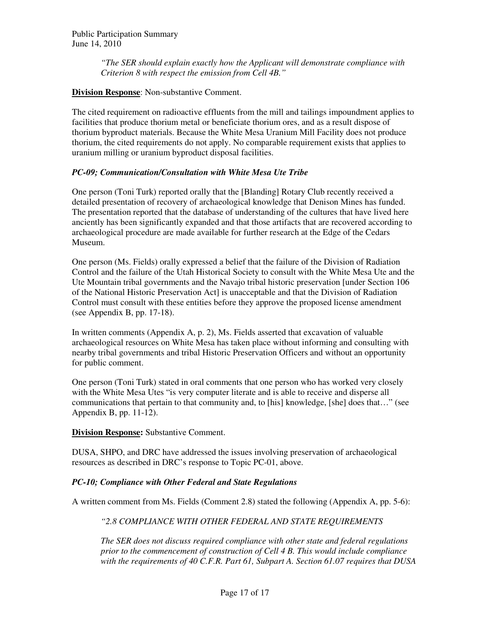*"The SER should explain exactly how the Applicant will demonstrate compliance with Criterion 8 with respect the emission from Cell 4B."* 

#### **Division Response**: Non-substantive Comment.

The cited requirement on radioactive effluents from the mill and tailings impoundment applies to facilities that produce thorium metal or beneficiate thorium ores, and as a result dispose of thorium byproduct materials. Because the White Mesa Uranium Mill Facility does not produce thorium, the cited requirements do not apply. No comparable requirement exists that applies to uranium milling or uranium byproduct disposal facilities.

#### *PC-09; Communication/Consultation with White Mesa Ute Tribe*

One person (Toni Turk) reported orally that the [Blanding] Rotary Club recently received a detailed presentation of recovery of archaeological knowledge that Denison Mines has funded. The presentation reported that the database of understanding of the cultures that have lived here anciently has been significantly expanded and that those artifacts that are recovered according to archaeological procedure are made available for further research at the Edge of the Cedars Museum.

One person (Ms. Fields) orally expressed a belief that the failure of the Division of Radiation Control and the failure of the Utah Historical Society to consult with the White Mesa Ute and the Ute Mountain tribal governments and the Navajo tribal historic preservation [under Section 106 of the National Historic Preservation Act] is unacceptable and that the Division of Radiation Control must consult with these entities before they approve the proposed license amendment (see Appendix B, pp. 17-18).

In written comments (Appendix A, p. 2), Ms. Fields asserted that excavation of valuable archaeological resources on White Mesa has taken place without informing and consulting with nearby tribal governments and tribal Historic Preservation Officers and without an opportunity for public comment.

One person (Toni Turk) stated in oral comments that one person who has worked very closely with the White Mesa Utes "is very computer literate and is able to receive and disperse all communications that pertain to that community and, to [his] knowledge, [she] does that…" (see Appendix B, pp. 11-12).

#### **Division Response:** Substantive Comment.

DUSA, SHPO, and DRC have addressed the issues involving preservation of archaeological resources as described in DRC's response to Topic PC-01, above.

#### *PC-10; Compliance with Other Federal and State Regulations*

A written comment from Ms. Fields (Comment 2.8) stated the following (Appendix A, pp. 5-6):

#### *"2.8 COMPLIANCE WITH OTHER FEDERAL AND STATE REQUIREMENTS*

*The SER does not discuss required compliance with other state and federal regulations prior to the commencement of construction of Cell 4 B. This would include compliance with the requirements of 40 C.F.R. Part 61, Subpart A. Section 61.07 requires that DUSA*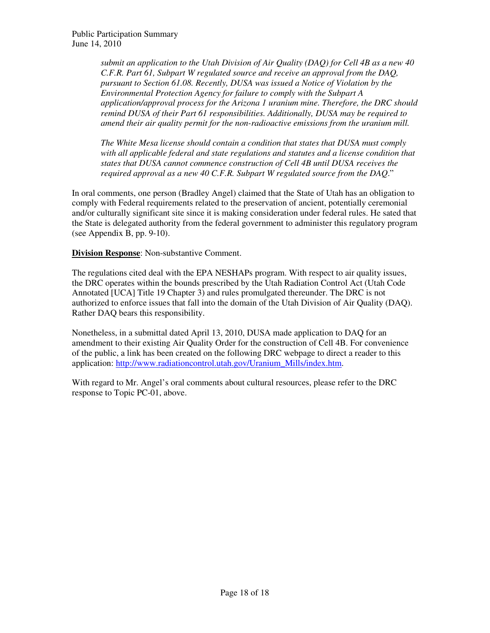*submit an application to the Utah Division of Air Quality (DAQ) for Cell 4B as a new 40 C.F.R. Part 61, Subpart W regulated source and receive an approval from the DAQ, pursuant to Section 61.08. Recently, DUSA was issued a Notice of Violation by the Environmental Protection Agency for failure to comply with the Subpart A application/approval process for the Arizona 1 uranium mine. Therefore, the DRC should remind DUSA of their Part 61 responsibilities. Additionally, DUSA may be required to amend their air quality permit for the non-radioactive emissions from the uranium mill.* 

*The White Mesa license should contain a condition that states that DUSA must comply with all applicable federal and state regulations and statutes and a license condition that states that DUSA cannot commence construction of Cell 4B until DUSA receives the required approval as a new 40 C.F.R. Subpart W regulated source from the DAQ*."

In oral comments, one person (Bradley Angel) claimed that the State of Utah has an obligation to comply with Federal requirements related to the preservation of ancient, potentially ceremonial and/or culturally significant site since it is making consideration under federal rules. He sated that the State is delegated authority from the federal government to administer this regulatory program (see Appendix B, pp. 9-10).

**Division Response**: Non-substantive Comment.

The regulations cited deal with the EPA NESHAPs program. With respect to air quality issues, the DRC operates within the bounds prescribed by the Utah Radiation Control Act (Utah Code Annotated [UCA] Title 19 Chapter 3) and rules promulgated thereunder. The DRC is not authorized to enforce issues that fall into the domain of the Utah Division of Air Quality (DAQ). Rather DAQ bears this responsibility.

Nonetheless, in a submittal dated April 13, 2010, DUSA made application to DAQ for an amendment to their existing Air Quality Order for the construction of Cell 4B. For convenience of the public, a link has been created on the following DRC webpage to direct a reader to this application: http://www.radiationcontrol.utah.gov/Uranium\_Mills/index.htm.

With regard to Mr. Angel's oral comments about cultural resources, please refer to the DRC response to Topic PC-01, above.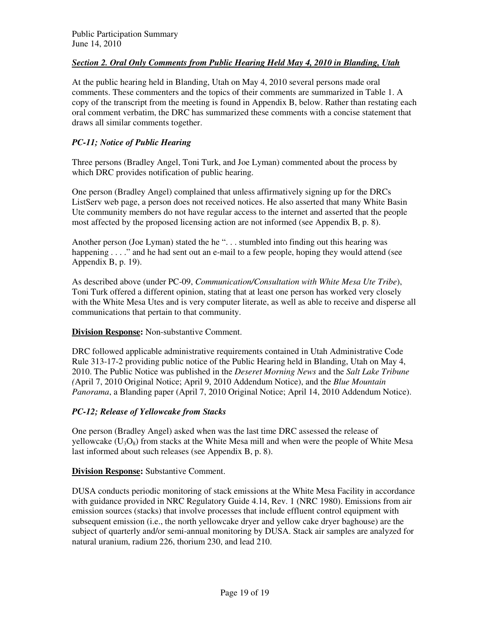#### *Section 2. Oral Only Comments from Public Hearing Held May 4, 2010 in Blanding, Utah*

At the public hearing held in Blanding, Utah on May 4, 2010 several persons made oral comments. These commenters and the topics of their comments are summarized in Table 1. A copy of the transcript from the meeting is found in Appendix B, below. Rather than restating each oral comment verbatim, the DRC has summarized these comments with a concise statement that draws all similar comments together.

#### *PC-11; Notice of Public Hearing*

Three persons (Bradley Angel, Toni Turk, and Joe Lyman) commented about the process by which DRC provides notification of public hearing.

One person (Bradley Angel) complained that unless affirmatively signing up for the DRCs ListServ web page, a person does not received notices. He also asserted that many White Basin Ute community members do not have regular access to the internet and asserted that the people most affected by the proposed licensing action are not informed (see Appendix B, p. 8).

Another person (Joe Lyman) stated the he "... stumbled into finding out this hearing was happening . . . ." and he had sent out an e-mail to a few people, hoping they would attend (see Appendix B, p. 19).

As described above (under PC-09, *Communication/Consultation with White Mesa Ute Tribe*), Toni Turk offered a different opinion, stating that at least one person has worked very closely with the White Mesa Utes and is very computer literate, as well as able to receive and disperse all communications that pertain to that community.

#### **Division Response:** Non-substantive Comment.

DRC followed applicable administrative requirements contained in Utah Administrative Code Rule 313-17-2 providing public notice of the Public Hearing held in Blanding, Utah on May 4, 2010. The Public Notice was published in the *Deseret Morning News* and the *Salt Lake Tribune (*April 7, 2010 Original Notice; April 9, 2010 Addendum Notice), and the *Blue Mountain Panorama*, a Blanding paper (April 7, 2010 Original Notice; April 14, 2010 Addendum Notice).

#### *PC-12; Release of Yellowcake from Stacks*

One person (Bradley Angel) asked when was the last time DRC assessed the release of yellowcake  $(U_3O_8)$  from stacks at the White Mesa mill and when were the people of White Mesa last informed about such releases (see Appendix B, p. 8).

#### **Division Response:** Substantive Comment.

DUSA conducts periodic monitoring of stack emissions at the White Mesa Facility in accordance with guidance provided in NRC Regulatory Guide 4.14, Rev. 1 (NRC 1980). Emissions from air emission sources (stacks) that involve processes that include effluent control equipment with subsequent emission (i.e., the north yellowcake dryer and yellow cake dryer baghouse) are the subject of quarterly and/or semi-annual monitoring by DUSA. Stack air samples are analyzed for natural uranium, radium 226, thorium 230, and lead 210.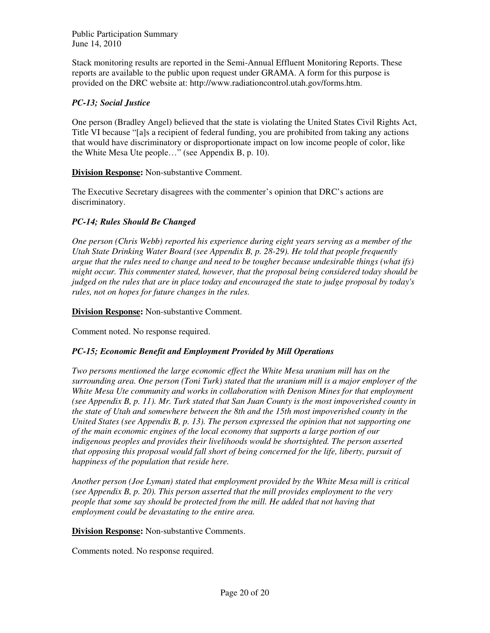Stack monitoring results are reported in the Semi-Annual Effluent Monitoring Reports. These reports are available to the public upon request under GRAMA. A form for this purpose is provided on the DRC website at: http://www.radiationcontrol.utah.gov/forms.htm.

#### *PC-13; Social Justice*

One person (Bradley Angel) believed that the state is violating the United States Civil Rights Act, Title VI because "[a]s a recipient of federal funding, you are prohibited from taking any actions that would have discriminatory or disproportionate impact on low income people of color, like the White Mesa Ute people…" (see Appendix B, p. 10).

**Division Response:** Non-substantive Comment.

The Executive Secretary disagrees with the commenter's opinion that DRC's actions are discriminatory.

#### *PC-14; Rules Should Be Changed*

*One person (Chris Webb) reported his experience during eight years serving as a member of the Utah State Drinking Water Board (see Appendix B, p. 28-29). He told that people frequently argue that the rules need to change and need to be tougher because undesirable things (what ifs) might occur. This commenter stated, however, that the proposal being considered today should be judged on the rules that are in place today and encouraged the state to judge proposal by today's rules, not on hopes for future changes in the rules.* 

**Division Response:** Non-substantive Comment.

Comment noted. No response required.

#### *PC-15; Economic Benefit and Employment Provided by Mill Operations*

*Two persons mentioned the large economic effect the White Mesa uranium mill has on the surrounding area. One person (Toni Turk) stated that the uranium mill is a major employer of the White Mesa Ute community and works in collaboration with Denison Mines for that employment (see Appendix B, p. 11). Mr. Turk stated that San Juan County is the most impoverished county in the state of Utah and somewhere between the 8th and the 15th most impoverished county in the United States (see Appendix B, p. 13). The person expressed the opinion that not supporting one of the main economic engines of the local economy that supports a large portion of our indigenous peoples and provides their livelihoods would be shortsighted. The person asserted that opposing this proposal would fall short of being concerned for the life, liberty, pursuit of happiness of the population that reside here.* 

*Another person (Joe Lyman) stated that employment provided by the White Mesa mill is critical (see Appendix B, p. 20). This person asserted that the mill provides employment to the very people that some say should be protected from the mill. He added that not having that employment could be devastating to the entire area.*

**Division Response:** Non-substantive Comments.

Comments noted. No response required.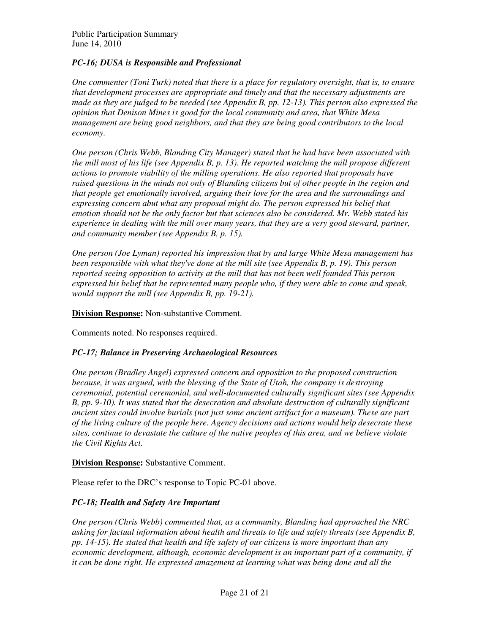#### *PC-16; DUSA is Responsible and Professional*

*One commenter (Toni Turk) noted that there is a place for regulatory oversight, that is, to ensure that development processes are appropriate and timely and that the necessary adjustments are made as they are judged to be needed (see Appendix B, pp. 12-13). This person also expressed the opinion that Denison Mines is good for the local community and area, that White Mesa management are being good neighbors, and that they are being good contributors to the local economy.* 

*One person (Chris Webb, Blanding City Manager) stated that he had have been associated with the mill most of his life (see Appendix B, p. 13). He reported watching the mill propose different actions to promote viability of the milling operations. He also reported that proposals have raised questions in the minds not only of Blanding citizens but of other people in the region and that people get emotionally involved, arguing their love for the area and the surroundings and expressing concern abut what any proposal might do. The person expressed his belief that emotion should not be the only factor but that sciences also be considered. Mr. Webb stated his experience in dealing with the mill over many years, that they are a very good steward, partner, and community member (see Appendix B, p. 15).* 

*One person (Joe Lyman) reported his impression that by and large White Mesa management has been responsible with what they've done at the mill site (see Appendix B, p. 19). This person reported seeing opposition to activity at the mill that has not been well founded This person expressed his belief that he represented many people who, if they were able to come and speak, would support the mill (see Appendix B, pp. 19-21).*

**Division Response:** Non-substantive Comment.

Comments noted. No responses required.

#### *PC-17; Balance in Preserving Archaeological Resources*

*One person (Bradley Angel) expressed concern and opposition to the proposed construction because, it was argued, with the blessing of the State of Utah, the company is destroying ceremonial, potential ceremonial, and well-documented culturally significant sites (see Appendix B, pp. 9-10). It was stated that the desecration and absolute destruction of culturally significant ancient sites could involve burials (not just some ancient artifact for a museum). These are part of the living culture of the people here. Agency decisions and actions would help desecrate these sites, continue to devastate the culture of the native peoples of this area, and we believe violate the Civil Rights Act.* 

**Division Response:** Substantive Comment.

Please refer to the DRC's response to Topic PC-01 above.

#### *PC-18; Health and Safety Are Important*

*One person (Chris Webb) commented that, as a community, Blanding had approached the NRC asking for factual information about health and threats to life and safety threats (see Appendix B, pp. 14-15). He stated that health and life safety of our citizens is more important than any economic development, although, economic development is an important part of a community, if it can be done right. He expressed amazement at learning what was being done and all the*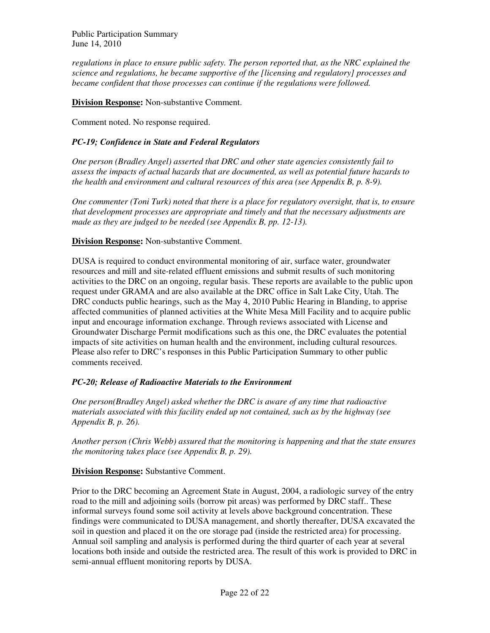*regulations in place to ensure public safety. The person reported that, as the NRC explained the science and regulations, he became supportive of the [licensing and regulatory] processes and became confident that those processes can continue if the regulations were followed.* 

**Division Response:** Non-substantive Comment.

Comment noted. No response required.

#### *PC-19; Confidence in State and Federal Regulators*

*One person (Bradley Angel) asserted that DRC and other state agencies consistently fail to assess the impacts of actual hazards that are documented, as well as potential future hazards to the health and environment and cultural resources of this area (see Appendix B, p. 8-9).* 

*One commenter (Toni Turk) noted that there is a place for regulatory oversight, that is, to ensure that development processes are appropriate and timely and that the necessary adjustments are made as they are judged to be needed (see Appendix B, pp. 12-13).* 

#### **Division Response:** Non-substantive Comment.

DUSA is required to conduct environmental monitoring of air, surface water, groundwater resources and mill and site-related effluent emissions and submit results of such monitoring activities to the DRC on an ongoing, regular basis. These reports are available to the public upon request under GRAMA and are also available at the DRC office in Salt Lake City, Utah. The DRC conducts public hearings, such as the May 4, 2010 Public Hearing in Blanding, to apprise affected communities of planned activities at the White Mesa Mill Facility and to acquire public input and encourage information exchange. Through reviews associated with License and Groundwater Discharge Permit modifications such as this one, the DRC evaluates the potential impacts of site activities on human health and the environment, including cultural resources. Please also refer to DRC's responses in this Public Participation Summary to other public comments received.

#### *PC-20; Release of Radioactive Materials to the Environment*

*One person(Bradley Angel) asked whether the DRC is aware of any time that radioactive materials associated with this facility ended up not contained, such as by the highway (see Appendix B, p. 26).* 

*Another person (Chris Webb) assured that the monitoring is happening and that the state ensures the monitoring takes place (see Appendix B, p. 29).*

**Division Response:** Substantive Comment.

Prior to the DRC becoming an Agreement State in August, 2004, a radiologic survey of the entry road to the mill and adjoining soils (borrow pit areas) was performed by DRC staff.. These informal surveys found some soil activity at levels above background concentration. These findings were communicated to DUSA management, and shortly thereafter, DUSA excavated the soil in question and placed it on the ore storage pad (inside the restricted area) for processing. Annual soil sampling and analysis is performed during the third quarter of each year at several locations both inside and outside the restricted area. The result of this work is provided to DRC in semi-annual effluent monitoring reports by DUSA.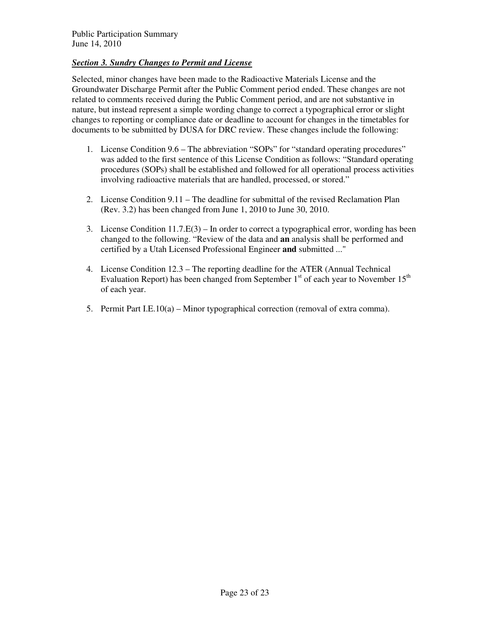#### *Section 3. Sundry Changes to Permit and License*

Selected, minor changes have been made to the Radioactive Materials License and the Groundwater Discharge Permit after the Public Comment period ended. These changes are not related to comments received during the Public Comment period, and are not substantive in nature, but instead represent a simple wording change to correct a typographical error or slight changes to reporting or compliance date or deadline to account for changes in the timetables for documents to be submitted by DUSA for DRC review. These changes include the following:

- 1. License Condition 9.6 The abbreviation "SOPs" for "standard operating procedures" was added to the first sentence of this License Condition as follows: "Standard operating procedures (SOPs) shall be established and followed for all operational process activities involving radioactive materials that are handled, processed, or stored."
- 2. License Condition 9.11 The deadline for submittal of the revised Reclamation Plan (Rev. 3.2) has been changed from June 1, 2010 to June 30, 2010.
- 3. License Condition  $11.7.E(3) In$  order to correct a typographical error, wording has been changed to the following. "Review of the data and **an** analysis shall be performed and certified by a Utah Licensed Professional Engineer **and** submitted ..."
- 4. License Condition 12.3 The reporting deadline for the ATER (Annual Technical Evaluation Report) has been changed from September  $1<sup>st</sup>$  of each year to November  $15<sup>th</sup>$ of each year.
- 5. Permit Part I.E.10(a) Minor typographical correction (removal of extra comma).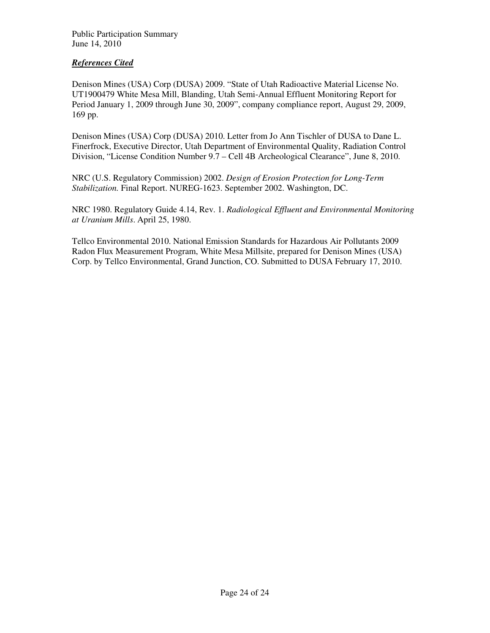#### *References Cited*

Denison Mines (USA) Corp (DUSA) 2009. "State of Utah Radioactive Material License No. UT1900479 White Mesa Mill, Blanding, Utah Semi-Annual Effluent Monitoring Report for Period January 1, 2009 through June 30, 2009", company compliance report, August 29, 2009, 169 pp.

Denison Mines (USA) Corp (DUSA) 2010. Letter from Jo Ann Tischler of DUSA to Dane L. Finerfrock, Executive Director, Utah Department of Environmental Quality, Radiation Control Division, "License Condition Number 9.7 – Cell 4B Archeological Clearance", June 8, 2010.

NRC (U.S. Regulatory Commission) 2002. *Design of Erosion Protection for Long-Term Stabilization.* Final Report. NUREG-1623. September 2002. Washington, DC.

NRC 1980. Regulatory Guide 4.14, Rev. 1. *Radiological Effluent and Environmental Monitoring at Uranium Mills*. April 25, 1980.

Tellco Environmental 2010. National Emission Standards for Hazardous Air Pollutants 2009 Radon Flux Measurement Program, White Mesa Millsite, prepared for Denison Mines (USA) Corp. by Tellco Environmental, Grand Junction, CO. Submitted to DUSA February 17, 2010.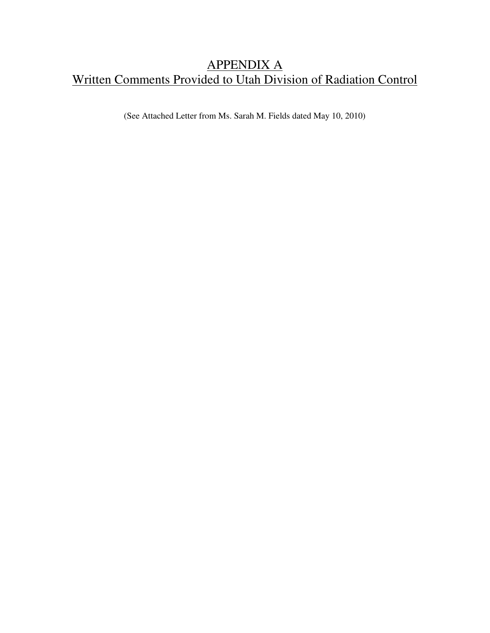## APPENDIX A Written Comments Provided to Utah Division of Radiation Control

(See Attached Letter from Ms. Sarah M. Fields dated May 10, 2010)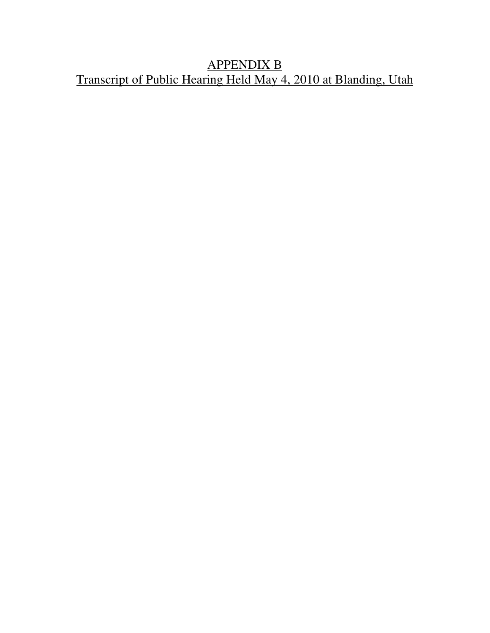# APPENDIX B Transcript of Public Hearing Held May 4, 2010 at Blanding, Utah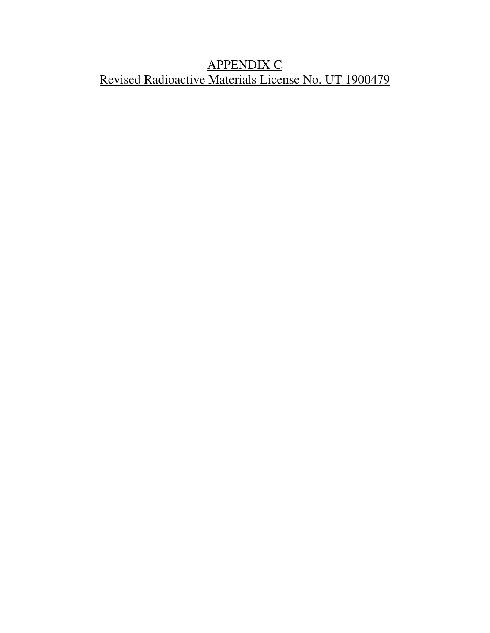# APPENDIX C Revised Radioactive Materials License No. UT 1900479